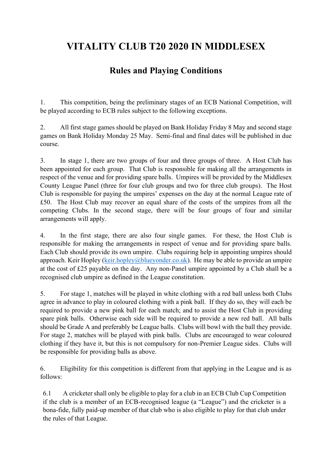## **VITALITY CLUB T20 2020 IN MIDDLESEX**

## **Rules and Playing Conditions**

1. This competition, being the preliminary stages of an ECB National Competition, will be played according to ECB rules subject to the following exceptions.

2. All first stage games should be played on Bank Holiday Friday 8 May and second stage games on Bank Holiday Monday 25 May. Semi-final and final dates will be published in due course.

3. In stage 1, there are two groups of four and three groups of three. A Host Club has been appointed for each group. That Club is responsible for making all the arrangements in respect of the venue and for providing spare balls. Umpires will be provided by the Middlesex County League Panel (three for four club groups and two for three club groups). The Host Club is responsible for paying the umpires' expenses on the day at the normal League rate of £50. The Host Club may recover an equal share of the costs of the umpires from all the competing Clubs. In the second stage, there will be four groups of four and similar arrangements will apply.

4. In the first stage, there are also four single games. For these, the Host Club is responsible for making the arrangements in respect of venue and for providing spare balls. Each Club should provide its own umpire. Clubs requiring help in appointing umpires should approach. Keir Hopley [\(keir.hopley@blueyonder.co.uk\)](mailto:keir.hopley@blueyonder.co.uk). He may be able to provide an umpire at the cost of £25 payable on the day. Any non-Panel umpire appointed by a Club shall be a recognised club umpire as defined in the League constitution.

5. For stage 1, matches will be played in white clothing with a red ball unless both Clubs agree in advance to play in coloured clothing with a pink ball. If they do so, they will each be required to provide a new pink ball for each match; and to assist the Host Club in providing spare pink balls. Otherwise each side will be required to provide a new red ball. All balls should be Grade A and preferably be League balls. Clubs will bowl with the ball they provide. For stage 2, matches will be played with pink balls. Clubs are encouraged to wear coloured clothing if they have it, but this is not compulsory for non-Premier League sides. Clubs will be responsible for providing balls as above.

6. Eligibility for this competition is different from that applying in the League and is as follows:

6.1 A cricketer shall only be eligible to play for a club in an ECB Club Cup Competition if the club is a member of an ECB-recognised league (a "League") and the cricketer is a bona-fide, fully paid-up member of that club who is also eligible to play for that club under the rules of that League.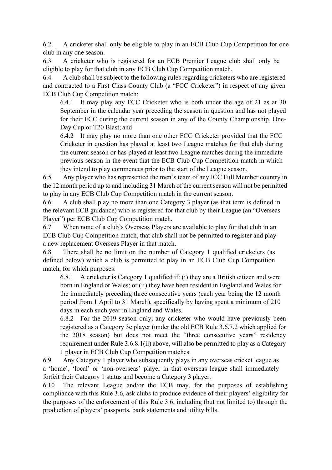6.2 A cricketer shall only be eligible to play in an ECB Club Cup Competition for one club in any one season.

6.3 A cricketer who is registered for an ECB Premier League club shall only be eligible to play for that club in any ECB Club Cup Competition match.

6.4 A club shall be subject to the following rules regarding cricketers who are registered and contracted to a First Class County Club (a "FCC Cricketer") in respect of any given ECB Club Cup Competition match:

6.4.1 It may play any FCC Cricketer who is both under the age of 21 as at 30 September in the calendar year preceding the season in question and has not played for their FCC during the current season in any of the County Championship, One-Day Cup or T20 Blast; and

6.4.2 It may play no more than one other FCC Cricketer provided that the FCC Cricketer in question has played at least two League matches for that club during the current season or has played at least two League matches during the immediate previous season in the event that the ECB Club Cup Competition match in which they intend to play commences prior to the start of the League season.

6.5 Any player who has represented the men's team of any ICC Full Member country in the 12 month period up to and including 31 March of the current season will not be permitted to play in any ECB Club Cup Competition match in the current season.

6.6 A club shall play no more than one Category 3 player (as that term is defined in the relevant ECB guidance) who is registered for that club by their League (an "Overseas Player") per ECB Club Cup Competition match.

6.7 When none of a club's Overseas Players are available to play for that club in an ECB Club Cup Competition match, that club shall not be permitted to register and play a new replacement Overseas Player in that match.

6.8 There shall be no limit on the number of Category 1 qualified cricketers (as defined below) which a club is permitted to play in an ECB Club Cup Competition match, for which purposes:

6.8.1 A cricketer is Category 1 qualified if: (i) they are a British citizen and were born in England or Wales; or (ii) they have been resident in England and Wales for the immediately preceding three consecutive years (each year being the 12 month period from 1 April to 31 March), specifically by having spent a minimum of 210 days in each such year in England and Wales.

6.8.2 For the 2019 season only, any cricketer who would have previously been registered as a Category 3e player (under the old ECB Rule 3.6.7.2 which applied for the 2018 season) but does not meet the "three consecutive years" residency requirement under Rule 3.6.8.1(ii) above, will also be permitted to play as a Category 1 player in ECB Club Cup Competition matches.

6.9 Any Category 1 player who subsequently plays in any overseas cricket league as a 'home', 'local' or 'non-overseas' player in that overseas league shall immediately forfeit their Category 1 status and become a Category 3 player.

6.10 The relevant League and/or the ECB may, for the purposes of establishing compliance with this Rule 3.6, ask clubs to produce evidence of their players' eligibility for the purposes of the enforcement of this Rule 3.6, including (but not limited to) through the production of players' passports, bank statements and utility bills.